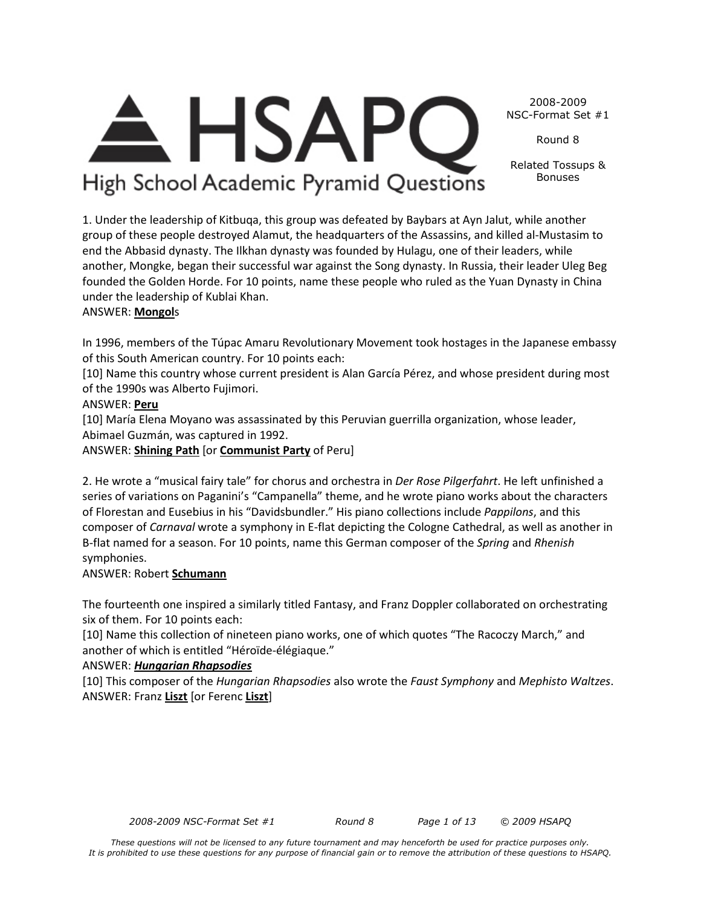*These questions will not be licensed to any future tournament and may henceforth be used for practice purposes only. It is prohibited to use these questions for any purpose of financial gain or to remove the attribution of these questions to HSAPQ.*

2008-2009 NSC-Format Set #1

Round 8

Related Tossups & Bonuses

1. Under the leadership of Kitbuqa, this group was defeated by Baybars at Ayn Jalut, while another group of these people destroyed Alamut, the headquarters of the Assassins, and killed al-Mustasim to end the Abbasid dynasty. The Ilkhan dynasty was founded by Hulagu, one of their leaders, while another, Mongke, began their successful war against the Song dynasty. In Russia, their leader Uleg Beg founded the Golden Horde. For 10 points, name these people who ruled as the Yuan Dynasty in China

**HSAP** 

High School Academic Pyramid Questions

under the leadership of Kublai Khan.

#### ANSWER: **Mongol**s

In 1996, members of the Túpac Amaru Revolutionary Movement took hostages in the Japanese embassy of this South American country. For 10 points each:

[10] Name this country whose current president is Alan García Pérez, and whose president during most

[10] María Elena Moyano was assassinated by this Peruvian guerrilla organization, whose leader,

ANSWER: **Shining Path** [or **Communist Party** of Peru]

2. He wrote a "musical fairy tale" for chorus and orchestra in *Der Rose Pilgerfahrt*. He left unfinished a series of variations on Paganini's "Campanella" theme, and he wrote piano works about the characters of Florestan and Eusebius in his "Davidsbundler." His piano collections include *Pappilons*, and this composer of *Carnaval* wrote a symphony in E-flat depicting the Cologne Cathedral, as well as another in B-flat named for a season. For 10 points, name this German composer of the *Spring* and *Rhenish* symphonies.

#### ANSWER: Robert **Schumann**

The fourteenth one inspired a similarly titled Fantasy, and Franz Doppler collaborated on orchestrating six of them. For 10 points each:

[10] Name this collection of nineteen piano works, one of which quotes "The Racoczy March," and another of which is entitled "Héroïde-élégiaque."

#### ANSWER: *Hungarian Rhapsodies*

[10] This composer of the *Hungarian Rhapsodies* also wrote the *Faust Symphony* and *Mephisto Waltzes*. ANSWER: Franz **Liszt** [or Ferenc **Liszt**]

*2008-2009 NSC-Format Set #1 Round 8 Page 1 of 13 © 2009 HSAPQ* 

of the 1990s was Alberto Fujimori. ANSWER: **Peru**

Abimael Guzmán, was captured in 1992.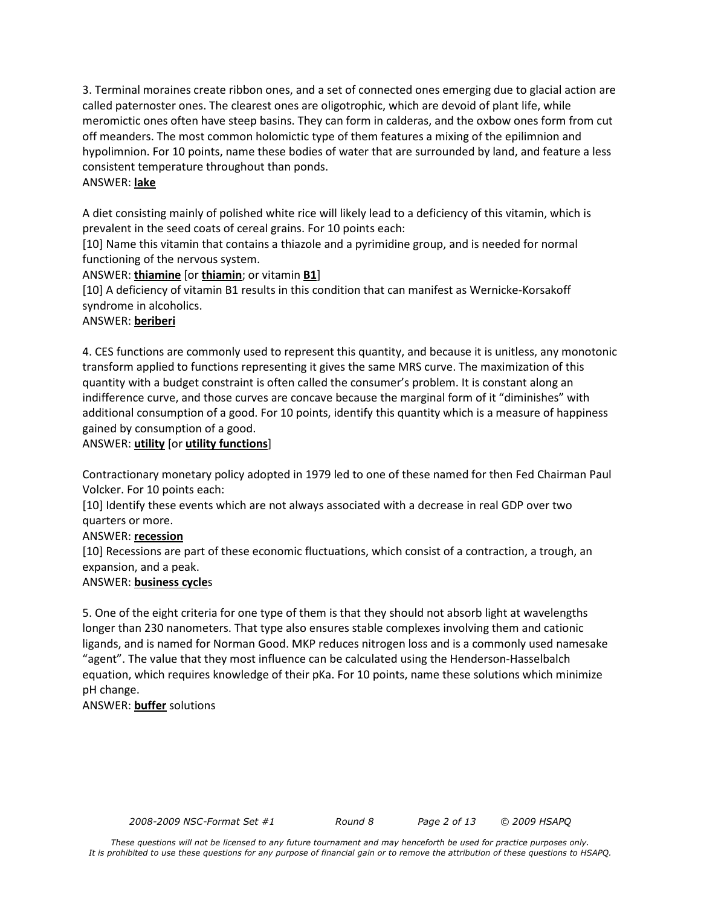3. Terminal moraines create ribbon ones, and a set of connected ones emerging due to glacial action are called paternoster ones. The clearest ones are oligotrophic, which are devoid of plant life, while meromictic ones often have steep basins. They can form in calderas, and the oxbow ones form from cut off meanders. The most common holomictic type of them features a mixing of the epilimnion and hypolimnion. For 10 points, name these bodies of water that are surrounded by land, and feature a less consistent temperature throughout than ponds.

#### ANSWER: **lake**

A diet consisting mainly of polished white rice will likely lead to a deficiency of this vitamin, which is prevalent in the seed coats of cereal grains. For 10 points each:

[10] Name this vitamin that contains a thiazole and a pyrimidine group, and is needed for normal functioning of the nervous system.

ANSWER: **thiamine** [or **thiamin**; or vitamin **B1**]

[10] A deficiency of vitamin B1 results in this condition that can manifest as Wernicke-Korsakoff syndrome in alcoholics.

#### ANSWER: **beriberi**

4. CES functions are commonly used to represent this quantity, and because it is unitless, any monotonic transform applied to functions representing it gives the same MRS curve. The maximization of this quantity with a budget constraint is often called the consumer's problem. It is constant along an indifference curve, and those curves are concave because the marginal form of it "diminishes" with additional consumption of a good. For 10 points, identify this quantity which is a measure of happiness gained by consumption of a good.

#### ANSWER: **utility** [or **utility functions**]

Contractionary monetary policy adopted in 1979 led to one of these named for then Fed Chairman Paul Volcker. For 10 points each:

[10] Identify these events which are not always associated with a decrease in real GDP over two quarters or more.

#### ANSWER: **recession**

[10] Recessions are part of these economic fluctuations, which consist of a contraction, a trough, an expansion, and a peak.

#### ANSWER: **business cycle**s

5. One of the eight criteria for one type of them is that they should not absorb light at wavelengths longer than 230 nanometers. That type also ensures stable complexes involving them and cationic ligands, and is named for Norman Good. MKP reduces nitrogen loss and is a commonly used namesake "agent". The value that they most influence can be calculated using the Henderson-Hasselbalch equation, which requires knowledge of their pKa. For 10 points, name these solutions which minimize pH change.

#### ANSWER: **buffer** solutions

*2008-2009 NSC-Format Set #1 Round 8 Page 2 of 13 © 2009 HSAPQ*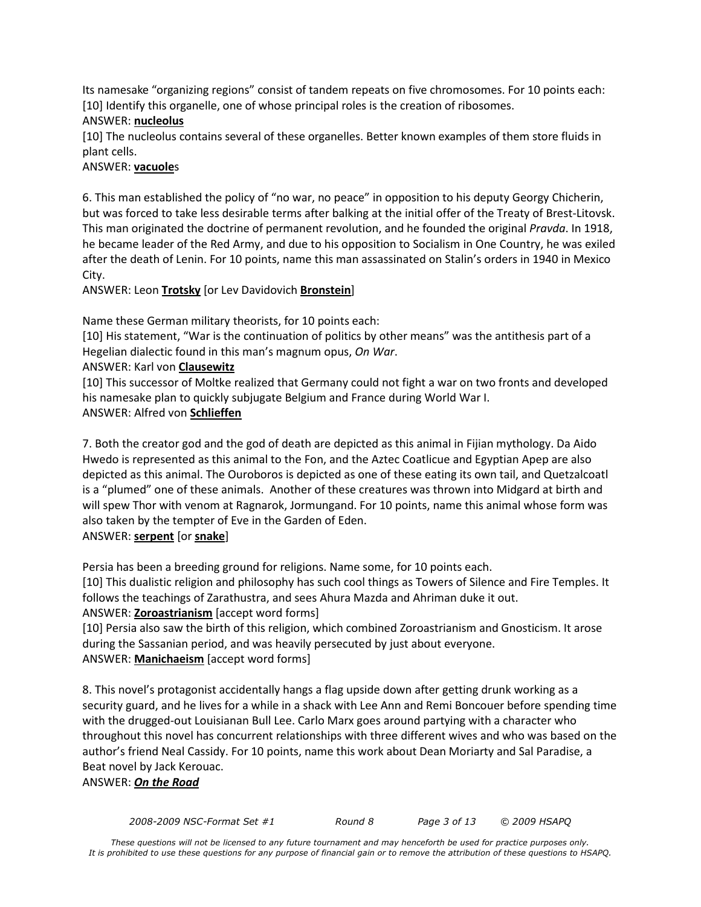Its namesake "organizing regions" consist of tandem repeats on five chromosomes. For 10 points each: [10] Identify this organelle, one of whose principal roles is the creation of ribosomes.

#### ANSWER: **nucleolus**

[10] The nucleolus contains several of these organelles. Better known examples of them store fluids in plant cells.

#### ANSWER: **vacuole**s

6. This man established the policy of "no war, no peace" in opposition to his deputy Georgy Chicherin, but was forced to take less desirable terms after balking at the initial offer of the Treaty of Brest-Litovsk. This man originated the doctrine of permanent revolution, and he founded the original *Pravda*. In 1918, he became leader of the Red Army, and due to his opposition to Socialism in One Country, he was exiled after the death of Lenin. For 10 points, name this man assassinated on Stalin's orders in 1940 in Mexico City.

ANSWER: Leon **Trotsky** [or Lev Davidovich **Bronstein**]

Name these German military theorists, for 10 points each:

[10] His statement, "War is the continuation of politics by other means" was the antithesis part of a Hegelian dialectic found in this man's magnum opus, *On War*.

#### ANSWER: Karl von **Clausewitz**

[10] This successor of Moltke realized that Germany could not fight a war on two fronts and developed his namesake plan to quickly subjugate Belgium and France during World War I. ANSWER: Alfred von **Schlieffen**

7. Both the creator god and the god of death are depicted as this animal in Fijian mythology. Da Aido Hwedo is represented as this animal to the Fon, and the Aztec Coatlicue and Egyptian Apep are also depicted as this animal. The Ouroboros is depicted as one of these eating its own tail, and Quetzalcoatl is a "plumed" one of these animals. Another of these creatures was thrown into Midgard at birth and will spew Thor with venom at Ragnarok, Jormungand. For 10 points, name this animal whose form was also taken by the tempter of Eve in the Garden of Eden.

#### ANSWER: **serpent** [or **snake**]

Persia has been a breeding ground for religions. Name some, for 10 points each. [10] This dualistic religion and philosophy has such cool things as Towers of Silence and Fire Temples. It follows the teachings of Zarathustra, and sees Ahura Mazda and Ahriman duke it out. ANSWER: **Zoroastrianism** [accept word forms]

[10] Persia also saw the birth of this religion, which combined Zoroastrianism and Gnosticism. It arose during the Sassanian period, and was heavily persecuted by just about everyone. ANSWER: **Manichaeism** [accept word forms]

8. This novel's protagonist accidentally hangs a flag upside down after getting drunk working as a security guard, and he lives for a while in a shack with Lee Ann and Remi Boncouer before spending time with the drugged-out Louisianan Bull Lee. Carlo Marx goes around partying with a character who throughout this novel has concurrent relationships with three different wives and who was based on the author's friend Neal Cassidy. For 10 points, name this work about Dean Moriarty and Sal Paradise, a Beat novel by Jack Kerouac.

ANSWER: *On the Road*

*2008-2009 NSC-Format Set #1 Round 8 Page 3 of 13 © 2009 HSAPQ*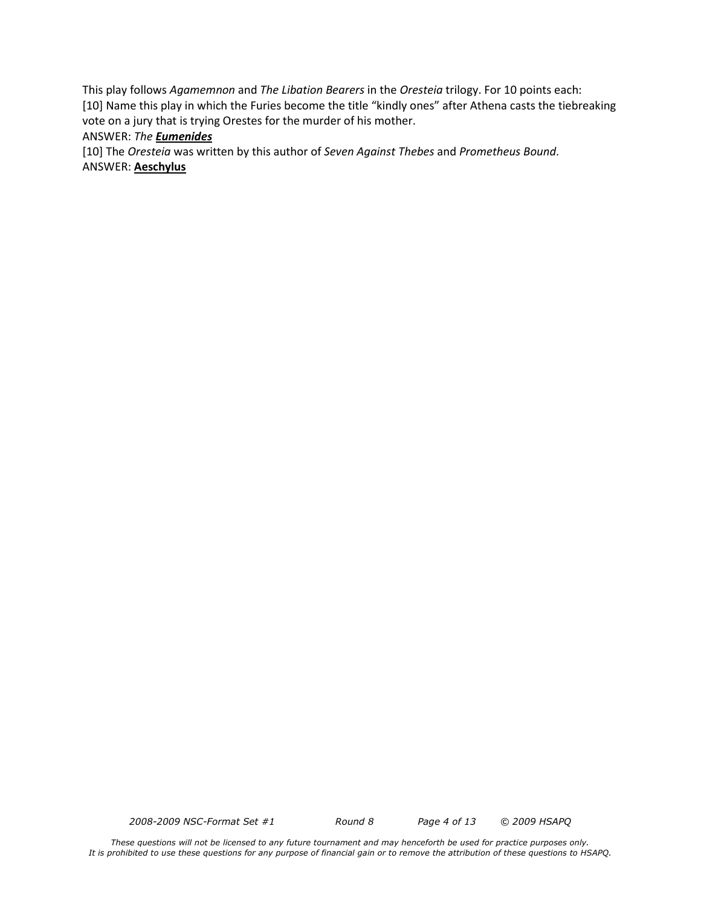This play follows *Agamemnon* and *The Libation Bearers* in the *Oresteia* trilogy. For 10 points each: [10] Name this play in which the Furies become the title "kindly ones" after Athena casts the tiebreaking vote on a jury that is trying Orestes for the murder of his mother.

#### ANSWER: *The Eumenides*

[10] The *Oresteia* was written by this author of *Seven Against Thebes* and *Prometheus Bound*.

ANSWER: **Aeschylus**

*2008-2009 NSC-Format Set #1 Round 8 Page 4 of 13 © 2009 HSAPQ*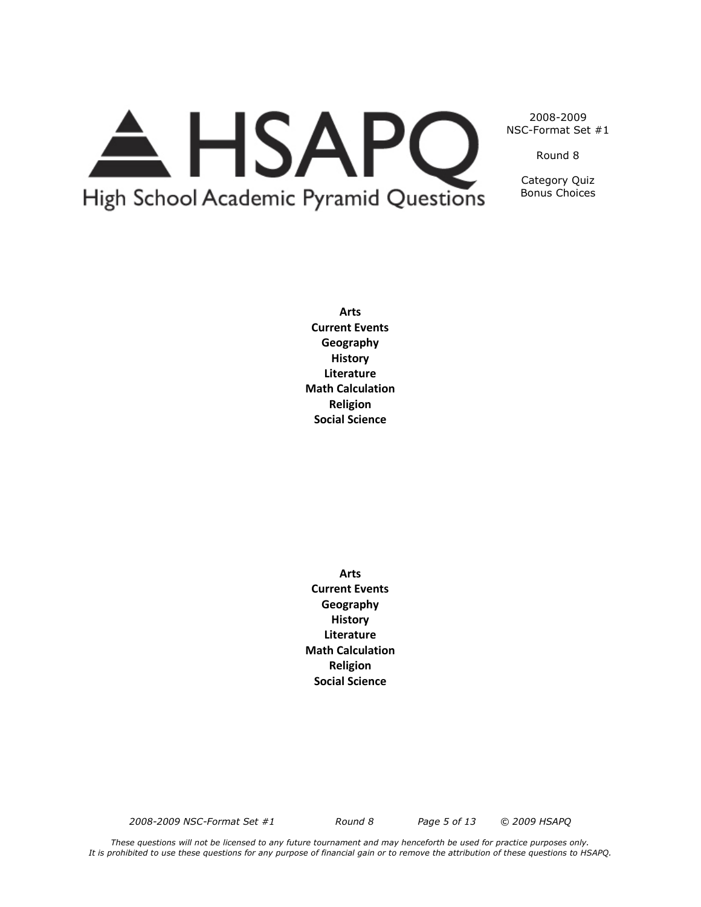# A HSAPQ High School Academic Pyramid Questions

2008-2009 NSC-Format Set #1

Round 8

Category Quiz Bonus Choices

**Arts Current Events Geography History Literature Math Calculation Religion Social Science**

**Arts Current Events Geography History Literature Math Calculation Religion Social Science**

*2008-2009 NSC-Format Set #1 Round 8 Page 5 of 13 © 2009 HSAPQ*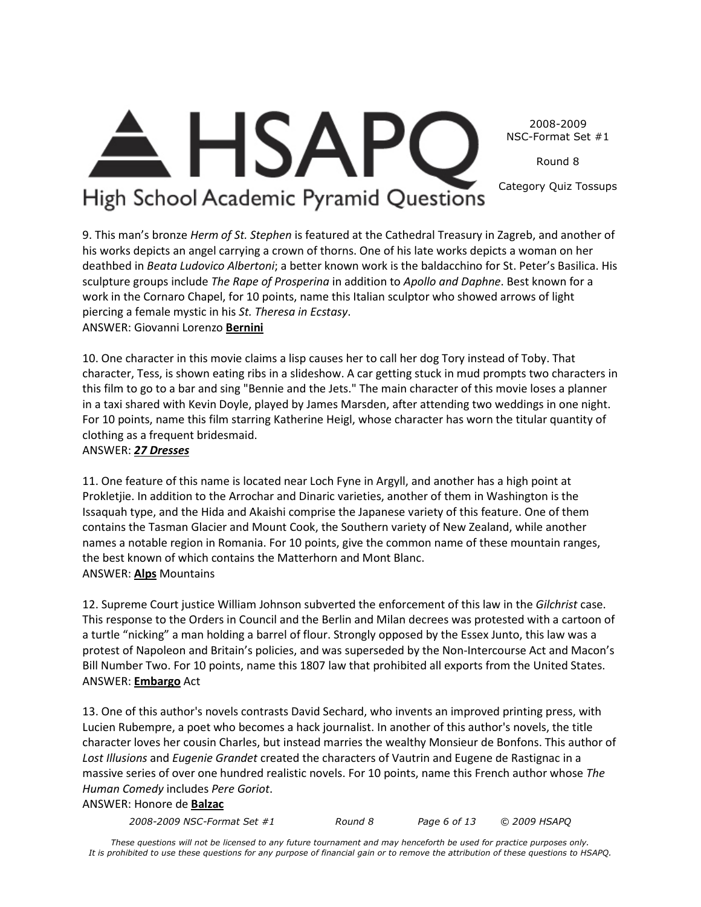2008-2009 NSC-Format Set #1

Round 8

Category Quiz Tossups

### High School Academic Pyramid Questions

**HSAPC** 

9. This man's bronze *Herm of St. Stephen* is featured at the Cathedral Treasury in Zagreb, and another of his works depicts an angel carrying a crown of thorns. One of his late works depicts a woman on her deathbed in *Beata Ludovico Albertoni*; a better known work is the baldacchino for St. Peter's Basilica. His sculpture groups include *The Rape of Prosperina* in addition to *Apollo and Daphne*. Best known for a work in the Cornaro Chapel, for 10 points, name this Italian sculptor who showed arrows of light piercing a female mystic in his *St. Theresa in Ecstasy*. ANSWER: Giovanni Lorenzo **Bernini**

10. One character in this movie claims a lisp causes her to call her dog Tory instead of Toby. That character, Tess, is shown eating ribs in a slideshow. A car getting stuck in mud prompts two characters in this film to go to a bar and sing "Bennie and the Jets." The main character of this movie loses a planner in a taxi shared with Kevin Doyle, played by James Marsden, after attending two weddings in one night. For 10 points, name this film starring Katherine Heigl, whose character has worn the titular quantity of clothing as a frequent bridesmaid.

#### ANSWER: *27 Dresses*

11. One feature of this name is located near Loch Fyne in Argyll, and another has a high point at Prokletjie. In addition to the Arrochar and Dinaric varieties, another of them in Washington is the Issaquah type, and the Hida and Akaishi comprise the Japanese variety of this feature. One of them contains the Tasman Glacier and Mount Cook, the Southern variety of New Zealand, while another names a notable region in Romania. For 10 points, give the common name of these mountain ranges, the best known of which contains the Matterhorn and Mont Blanc. ANSWER: **Alps** Mountains

12. Supreme Court justice William Johnson subverted the enforcement of this law in the *Gilchrist* case. This response to the Orders in Council and the Berlin and Milan decrees was protested with a cartoon of a turtle "nicking" a man holding a barrel of flour. Strongly opposed by the Essex Junto, this law was a protest of Napoleon and Britain's policies, and was superseded by the Non-Intercourse Act and Macon's Bill Number Two. For 10 points, name this 1807 law that prohibited all exports from the United States. ANSWER: **Embargo** Act

13. One of this author's novels contrasts David Sechard, who invents an improved printing press, with Lucien Rubempre, a poet who becomes a hack journalist. In another of this author's novels, the title character loves her cousin Charles, but instead marries the wealthy Monsieur de Bonfons. This author of *Lost Illusions* and *Eugenie Grandet* created the characters of Vautrin and Eugene de Rastignac in a massive series of over one hundred realistic novels. For 10 points, name this French author whose *The Human Comedy* includes *Pere Goriot*.

#### ANSWER: Honore de **Balzac**

*2008-2009 NSC-Format Set #1 Round 8 Page 6 of 13 © 2009 HSAPQ*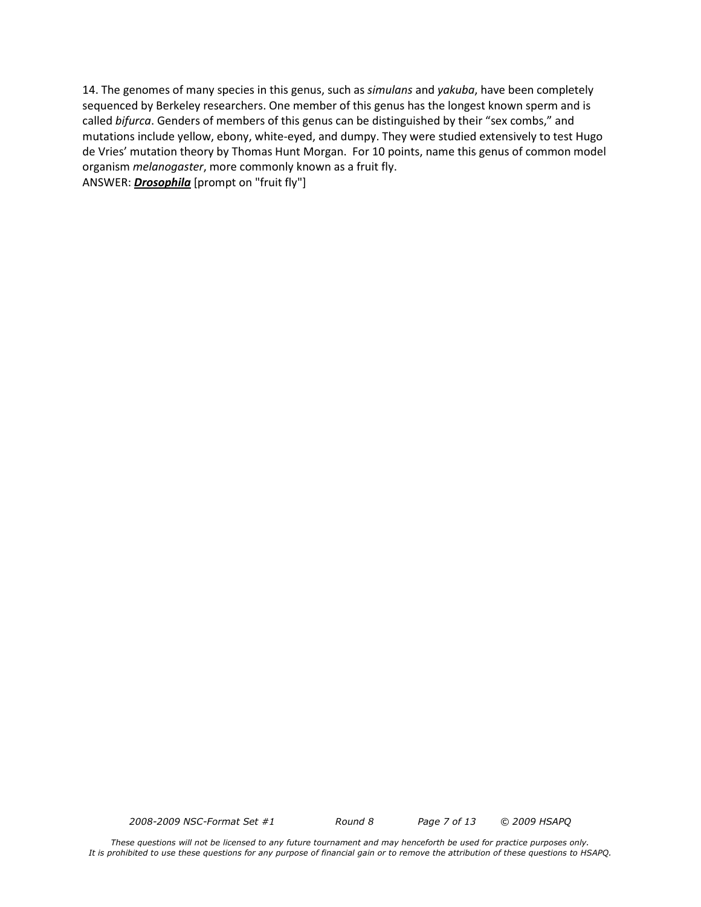14. The genomes of many species in this genus, such as *simulans* and *yakuba*, have been completely sequenced by Berkeley researchers. One member of this genus has the longest known sperm and is called *bifurca*. Genders of members of this genus can be distinguished by their "sex combs," and mutations include yellow, ebony, white-eyed, and dumpy. They were studied extensively to test Hugo de Vries' mutation theory by Thomas Hunt Morgan. For 10 points, name this genus of common model organism *melanogaster*, more commonly known as a fruit fly. ANSWER: *Drosophila* [prompt on "fruit fly"]

*2008-2009 NSC-Format Set #1 Round 8 Page 7 of 13 © 2009 HSAPQ*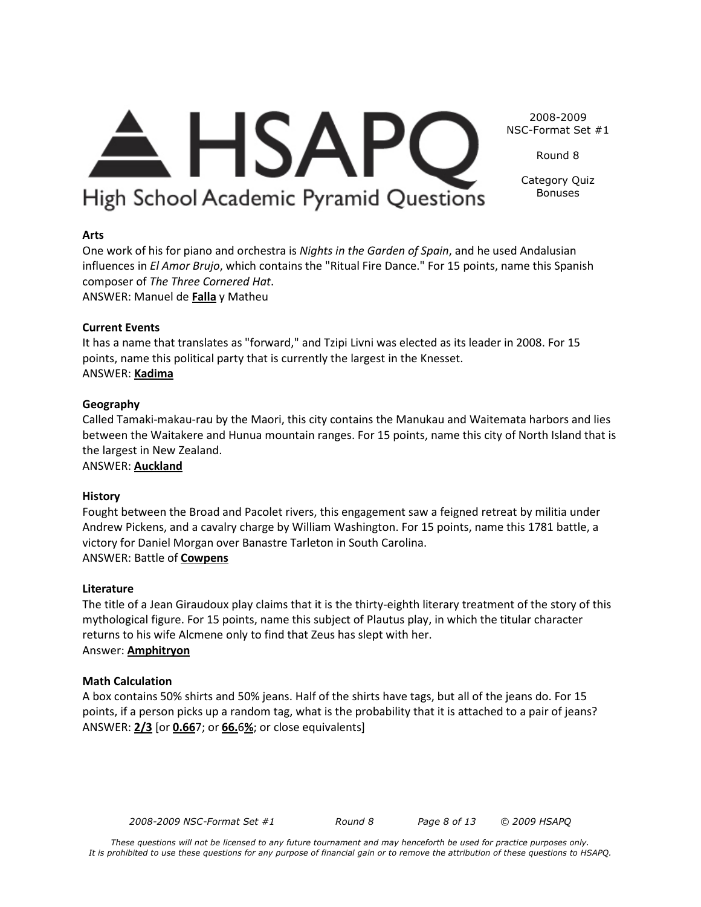### A HSAPC High School Academic Pyramid Questions

2008-2009 NSC-Format Set #1 Round 8

> Category Quiz Bonuses

#### **Arts**

One work of his for piano and orchestra is *Nights in the Garden of Spain*, and he used Andalusian influences in *El Amor Brujo*, which contains the "Ritual Fire Dance." For 15 points, name this Spanish composer of *The Three Cornered Hat*.

ANSWER: Manuel de **Falla** y Matheu

#### **Current Events**

It has a name that translates as "forward," and Tzipi Livni was elected as its leader in 2008. For 15 points, name this political party that is currently the largest in the Knesset. ANSWER: **Kadima**

#### **Geography**

Called Tamaki-makau-rau by the Maori, this city contains the Manukau and Waitemata harbors and lies between the Waitakere and Hunua mountain ranges. For 15 points, name this city of North Island that is the largest in New Zealand.

ANSWER: **Auckland**

#### **History**

Fought between the Broad and Pacolet rivers, this engagement saw a feigned retreat by militia under Andrew Pickens, and a cavalry charge by William Washington. For 15 points, name this 1781 battle, a victory for Daniel Morgan over Banastre Tarleton in South Carolina. ANSWER: Battle of **Cowpens**

#### **Literature**

The title of a Jean Giraudoux play claims that it is the thirty-eighth literary treatment of the story of this mythological figure. For 15 points, name this subject of Plautus play, in which the titular character returns to his wife Alcmene only to find that Zeus has slept with her. Answer: **Amphitryon**

#### **Math Calculation**

A box contains 50% shirts and 50% jeans. Half of the shirts have tags, but all of the jeans do. For 15 points, if a person picks up a random tag, what is the probability that it is attached to a pair of jeans? ANSWER: **2/3** [or **0.66**7; or **66.**6**%**; or close equivalents]

*2008-2009 NSC-Format Set #1 Round 8 Page 8 of 13 © 2009 HSAPQ*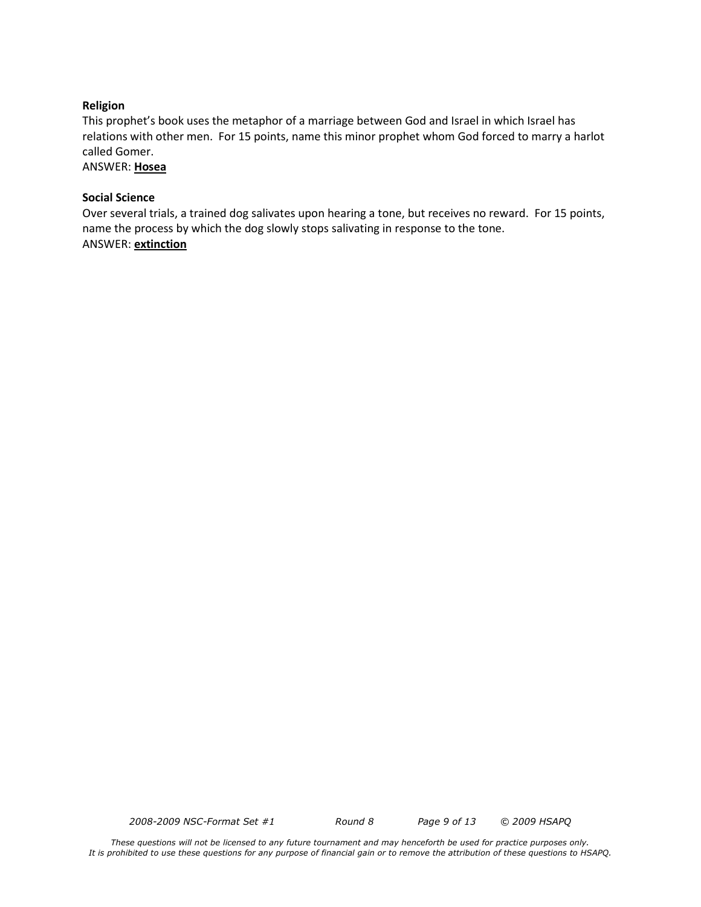#### **Religion**

This prophet's book uses the metaphor of a marriage between God and Israel in which Israel has relations with other men. For 15 points, name this minor prophet whom God forced to marry a harlot called Gomer.

ANSWER: **Hosea**

#### **Social Science**

Over several trials, a trained dog salivates upon hearing a tone, but receives no reward. For 15 points, name the process by which the dog slowly stops salivating in response to the tone. ANSWER: **extinction**

*2008-2009 NSC-Format Set #1 Round 8 Page 9 of 13 © 2009 HSAPQ*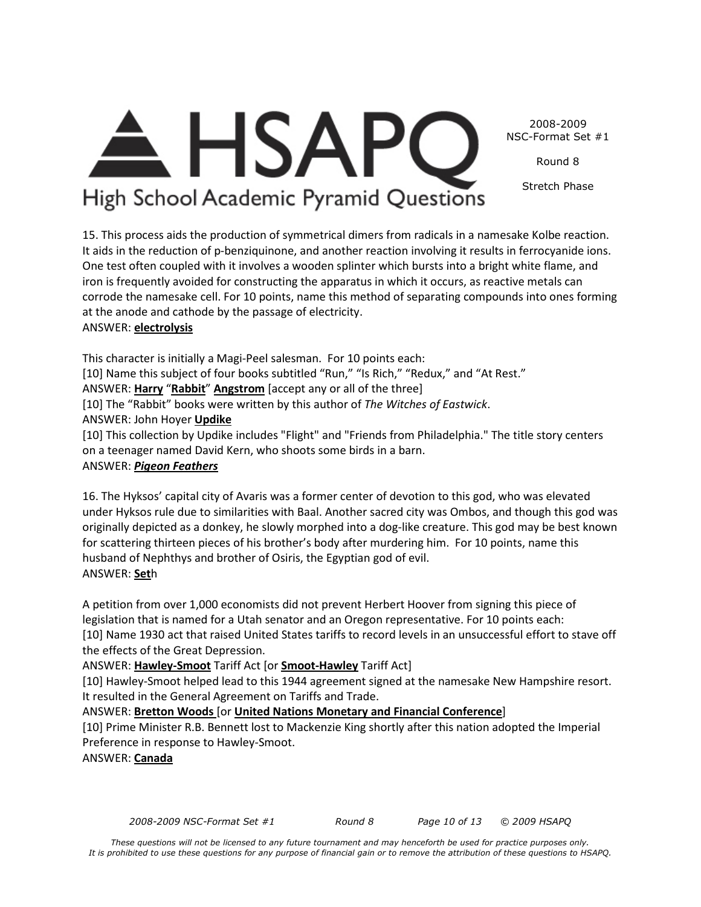2008-2009 NSC-Format Set #1

Round 8

Stretch Phase

## <del>A</del> HSAPC High School Academic Pyramid Questions

15. This process aids the production of symmetrical dimers from radicals in a namesake Kolbe reaction. It aids in the reduction of p-benziquinone, and another reaction involving it results in ferrocyanide ions. One test often coupled with it involves a wooden splinter which bursts into a bright white flame, and iron is frequently avoided for constructing the apparatus in which it occurs, as reactive metals can corrode the namesake cell. For 10 points, name this method of separating compounds into ones forming at the anode and cathode by the passage of electricity. ANSWER: **electrolysis**

This character is initially a Magi-Peel salesman. For 10 points each: [10] Name this subject of four books subtitled "Run," "Is Rich," "Redux," and "At Rest." ANSWER: **Harry** "**Rabbit**" **Angstrom** [accept any or all of the three] [10] The "Rabbit" books were written by this author of *The Witches of Eastwick*. ANSWER: John Hoyer **Updike** [10] This collection by Updike includes "Flight" and "Friends from Philadelphia." The title story centers on a teenager named David Kern, who shoots some birds in a barn.

### ANSWER: *Pigeon Feathers*

16. The Hyksos' capital city of Avaris was a former center of devotion to this god, who was elevated under Hyksos rule due to similarities with Baal. Another sacred city was Ombos, and though this god was originally depicted as a donkey, he slowly morphed into a dog-like creature. This god may be best known for scattering thirteen pieces of his brother's body after murdering him. For 10 points, name this husband of Nephthys and brother of Osiris, the Egyptian god of evil. ANSWER: **Set**h

A petition from over 1,000 economists did not prevent Herbert Hoover from signing this piece of legislation that is named for a Utah senator and an Oregon representative. For 10 points each: [10] Name 1930 act that raised United States tariffs to record levels in an unsuccessful effort to stave off the effects of the Great Depression.

#### ANSWER: **Hawley-Smoot** Tariff Act [or **Smoot-Hawley** Tariff Act]

[10] Hawley-Smoot helped lead to this 1944 agreement signed at the namesake New Hampshire resort. It resulted in the General Agreement on Tariffs and Trade.

#### ANSWER: **Bretton Woods** [or **United Nations Monetary and Financial Conference**]

[10] Prime Minister R.B. Bennett lost to Mackenzie King shortly after this nation adopted the Imperial Preference in response to Hawley-Smoot.

ANSWER: **Canada**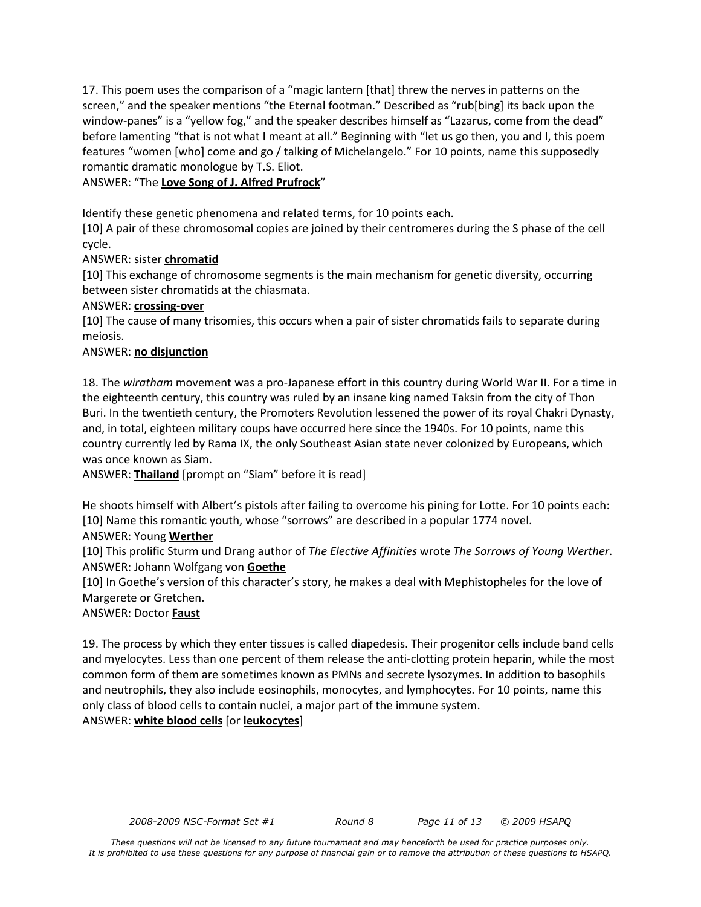17. This poem uses the comparison of a "magic lantern [that] threw the nerves in patterns on the screen," and the speaker mentions "the Eternal footman." Described as "rub[bing] its back upon the window-panes" is a "yellow fog," and the speaker describes himself as "Lazarus, come from the dead" before lamenting "that is not what I meant at all." Beginning with "let us go then, you and I, this poem features "women [who] come and go / talking of Michelangelo." For 10 points, name this supposedly romantic dramatic monologue by T.S. Eliot.

#### ANSWER: "The **Love Song of J. Alfred Prufrock**"

Identify these genetic phenomena and related terms, for 10 points each.

[10] A pair of these chromosomal copies are joined by their centromeres during the S phase of the cell cycle.

#### ANSWER: sister **chromatid**

[10] This exchange of chromosome segments is the main mechanism for genetic diversity, occurring between sister chromatids at the chiasmata.

#### ANSWER: **crossing-over**

[10] The cause of many trisomies, this occurs when a pair of sister chromatids fails to separate during meiosis.

#### ANSWER: **no disjunction**

18. The *wiratham* movement was a pro-Japanese effort in this country during World War II. For a time in the eighteenth century, this country was ruled by an insane king named Taksin from the city of Thon Buri. In the twentieth century, the Promoters Revolution lessened the power of its royal Chakri Dynasty, and, in total, eighteen military coups have occurred here since the 1940s. For 10 points, name this country currently led by Rama IX, the only Southeast Asian state never colonized by Europeans, which was once known as Siam.

ANSWER: **Thailand** [prompt on "Siam" before it is read]

He shoots himself with Albert's pistols after failing to overcome his pining for Lotte. For 10 points each: [10] Name this romantic youth, whose "sorrows" are described in a popular 1774 novel.

#### ANSWER: Young **Werther**

[10] This prolific Sturm und Drang author of *The Elective Affinities* wrote *The Sorrows of Young Werther*. ANSWER: Johann Wolfgang von **Goethe**

[10] In Goethe's version of this character's story, he makes a deal with Mephistopheles for the love of Margerete or Gretchen.

#### ANSWER: Doctor **Faust**

19. The process by which they enter tissues is called diapedesis. Their progenitor cells include band cells and myelocytes. Less than one percent of them release the anti-clotting protein heparin, while the most common form of them are sometimes known as PMNs and secrete lysozymes. In addition to basophils and neutrophils, they also include eosinophils, monocytes, and lymphocytes. For 10 points, name this only class of blood cells to contain nuclei, a major part of the immune system. ANSWER: **white blood cells** [or **leukocytes**]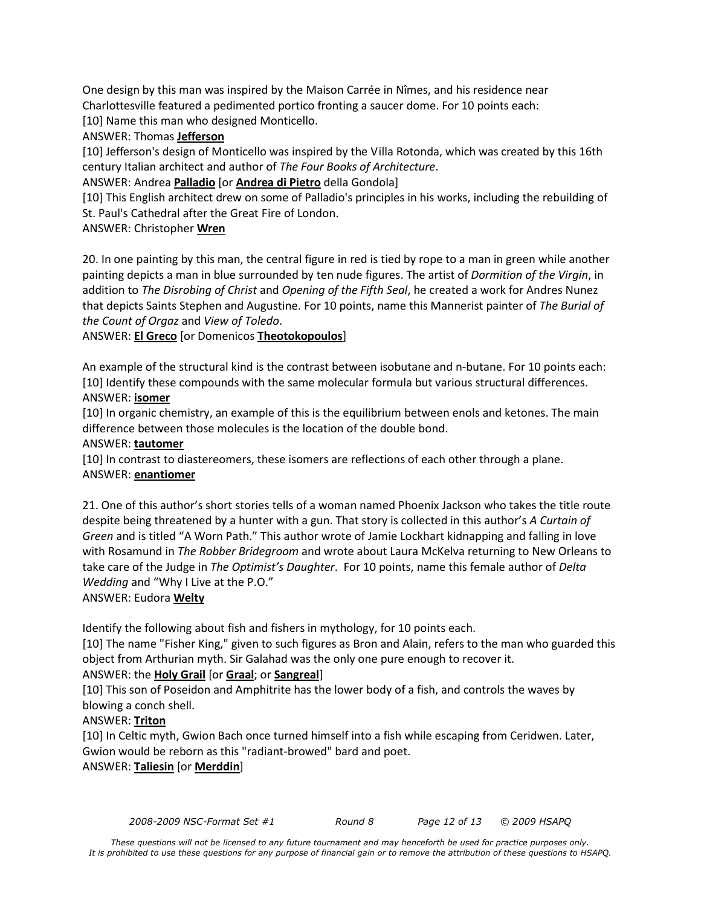One design by this man was inspired by the Maison Carrée in Nîmes, and his residence near Charlottesville featured a pedimented portico fronting a saucer dome. For 10 points each: [10] Name this man who designed Monticello.

ANSWER: Thomas **Jefferson**

[10] Jefferson's design of Monticello was inspired by the Villa Rotonda, which was created by this 16th century Italian architect and author of *The Four Books of Architecture*.

ANSWER: Andrea **Palladio** [or **Andrea di Pietro** della Gondola]

[10] This English architect drew on some of Palladio's principles in his works, including the rebuilding of St. Paul's Cathedral after the Great Fire of London.

ANSWER: Christopher **Wren**

20. In one painting by this man, the central figure in red is tied by rope to a man in green while another painting depicts a man in blue surrounded by ten nude figures. The artist of *Dormition of the Virgin*, in addition to *The Disrobing of Christ* and *Opening of the Fifth Seal*, he created a work for Andres Nunez that depicts Saints Stephen and Augustine. For 10 points, name this Mannerist painter of *The Burial of the Count of Orgaz* and *View of Toledo*.

ANSWER: **El Greco** [or Domenicos **Theotokopoulos**]

An example of the structural kind is the contrast between isobutane and n-butane. For 10 points each: [10] Identify these compounds with the same molecular formula but various structural differences. ANSWER: **isomer**

[10] In organic chemistry, an example of this is the equilibrium between enols and ketones. The main difference between those molecules is the location of the double bond.

#### ANSWER: **tautomer**

[10] In contrast to diastereomers, these isomers are reflections of each other through a plane. ANSWER: **enantiomer**

21. One of this author's short stories tells of a woman named Phoenix Jackson who takes the title route despite being threatened by a hunter with a gun. That story is collected in this author's *A Curtain of Green* and is titled "A Worn Path." This author wrote of Jamie Lockhart kidnapping and falling in love with Rosamund in *The Robber Bridegroom* and wrote about Laura McKelva returning to New Orleans to take care of the Judge in *The Optimist's Daughter*. For 10 points, name this female author of *Delta Wedding* and "Why I Live at the P.O."

#### ANSWER: Eudora **Welty**

Identify the following about fish and fishers in mythology, for 10 points each.

[10] The name "Fisher King," given to such figures as Bron and Alain, refers to the man who guarded this object from Arthurian myth. Sir Galahad was the only one pure enough to recover it.

#### ANSWER: the **Holy Grail** [or **Graal**; or **Sangreal**]

[10] This son of Poseidon and Amphitrite has the lower body of a fish, and controls the waves by blowing a conch shell.

#### ANSWER: **Triton**

[10] In Celtic myth, Gwion Bach once turned himself into a fish while escaping from Ceridwen. Later, Gwion would be reborn as this "radiant-browed" bard and poet.

#### ANSWER: **Taliesin** [or **Merddin**]

*2008-2009 NSC-Format Set #1 Round 8 Page 12 of 13 © 2009 HSAPQ*